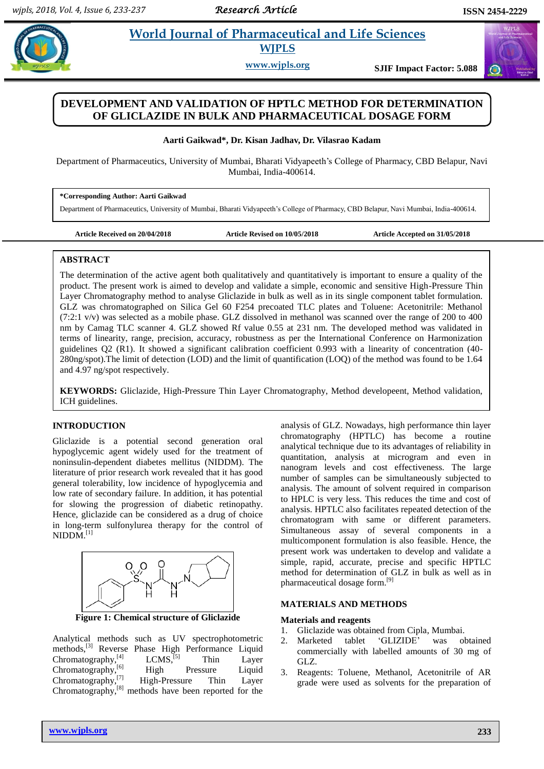# **A a** *et al. <b>Pharmaceutical and Life Sciences* **WJPLS**

**www.wjpls.org SJIF Impact Factor: 5.088**

## **DEVELOPMENT AND VALIDATION OF HPTLC METHOD FOR DETERMINATION OF GLICLAZIDE IN BULK AND PHARMACEUTICAL DOSAGE FORM**

## **Aarti Gaikwad\*, Dr. Kisan Jadhav, Dr. Vilasrao Kadam**

Department of Pharmaceutics, University of Mumbai, Bharati Vidyapeeth's College of Pharmacy, CBD Belapur, Navi Mumbai, India-400614.

## **\*Corresponding Author: Aarti Gaikwad**

Department of Pharmaceutics, University of Mumbai, Bharati Vidyapeeth's College of Pharmacy, CBD Belapur, Navi Mumbai, India-400614.

**Article Received on 20/04/2018 Article Revised on 10/05/2018 Article Accepted on 31/05/2018**

## **ABSTRACT**

The determination of the active agent both qualitatively and quantitatively is important to ensure a quality of the product. The present work is aimed to develop and validate a simple, economic and sensitive High-Pressure Thin Layer Chromatography method to analyse Gliclazide in bulk as well as in its single component tablet formulation. GLZ was chromatographed on Silica Gel 60 F254 precoated TLC plates and Toluene: Acetonitrile: Methanol (7:2:1 v/v) was selected as a mobile phase. GLZ dissolved in methanol was scanned over the range of 200 to 400 nm by Camag TLC scanner 4. GLZ showed Rf value 0.55 at 231 nm. The developed method was validated in terms of linearity, range, precision, accuracy, robustness as per the International Conference on Harmonization guidelines Q2 (R1). It showed a significant calibration coefficient 0.993 with a linearity of concentration (40- 280ng/spot).The limit of detection (LOD) and the limit of quantification (LOQ) of the method was found to be 1.64 and 4.97 ng/spot respectively.

**KEYWORDS:** Gliclazide, High-Pressure Thin Layer Chromatography, Method developeent, Method validation, ICH guidelines.

## **INTRODUCTION**

Gliclazide is a potential second generation oral hypoglycemic agent widely used for the treatment of noninsulin-dependent diabetes mellitus (NIDDM). The literature of prior research work revealed that it has good general tolerability, low incidence of hypoglycemia and low rate of secondary failure. In addition, it has potential for slowing the progression of diabetic retinopathy. Hence, gliclazide can be considered as a drug of choice in long-term sulfonylurea therapy for the control of  $NIDDM.<sup>[1]</sup>$ 



**Figure 1: Chemical structure of Gliclazide**

Analytical methods such as UV spectrophotometric methods,[3] Reverse Phase High Performance Liquid  $Chromatography,$ <sup>[4]</sup> LCMS,<sup>[5]</sup> Thin Layer Chromatography,<sup>[6]</sup> High Pressure Liquid Chromatography,[7] High-Pressure Thin Layer Chromatography, [8] methods have been reported for the analysis of GLZ. Nowadays, high performance thin layer chromatography (HPTLC) has become a routine analytical technique due to its advantages of reliability in quantitation, analysis at microgram and even in nanogram levels and cost effectiveness. The large number of samples can be simultaneously subjected to analysis. The amount of solvent required in comparison to HPLC is very less. This reduces the time and cost of analysis. HPTLC also facilitates repeated detection of the chromatogram with same or different parameters. Simultaneous assay of several components in a multicomponent formulation is also feasible. Hence, the present work was undertaken to develop and validate a simple, rapid, accurate, precise and specific HPTLC method for determination of GLZ in bulk as well as in pharmaceutical dosage form.<sup>[9]</sup>

## **MATERIALS AND METHODS**

#### **Materials and reagents**

- 1. Gliclazide was obtained from Cipla, Mumbai.
- 2. Marketed tablet 'GLIZIDE' was obtained commercially with labelled amounts of 30 mg of GLZ.
- 3. Reagents: Toluene, Methanol, Acetonitrile of AR grade were used as solvents for the preparation of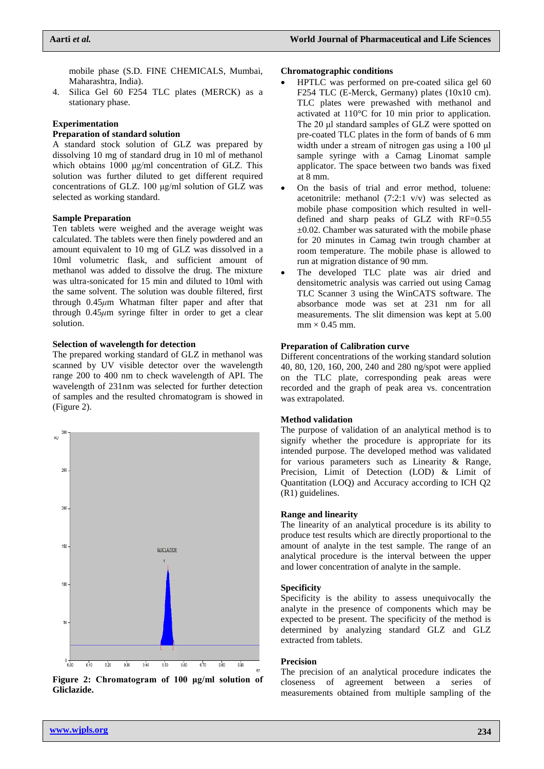mobile phase (S.D. FINE CHEMICALS, Mumbai, Maharashtra, India).

4. Silica Gel 60 F254 TLC plates (MERCK) as a stationary phase.

#### **Experimentation**

## **Preparation of standard solution**

A standard stock solution of GLZ was prepared by dissolving 10 mg of standard drug in 10 ml of methanol which obtains 1000 μg/ml concentration of GLZ. This solution was further diluted to get different required concentrations of GLZ. 100 μg/ml solution of GLZ was selected as working standard.

## **Sample Preparation**

Ten tablets were weighed and the average weight was calculated. The tablets were then finely powdered and an amount equivalent to 10 mg of GLZ was dissolved in a 10ml volumetric flask, and sufficient amount of methanol was added to dissolve the drug. The mixture was ultra-sonicated for 15 min and diluted to 10ml with the same solvent. The solution was double filtered, first through 0.45*μ*m Whatman filter paper and after that through 0.45*μ*m syringe filter in order to get a clear solution.

## **Selection of wavelength for detection**

The prepared working standard of GLZ in methanol was scanned by UV visible detector over the wavelength range 200 to 400 nm to check wavelength of API. The wavelength of 231nm was selected for further detection of samples and the resulted chromatogram is showed in (Figure 2).



**Figure 2: Chromatogram of 100 μg/ml solution of Gliclazide.**

#### **Chromatographic conditions**

- HPTLC was performed on pre-coated silica gel 60 F254 TLC (E-Merck, Germany) plates (10x10 cm). TLC plates were prewashed with methanol and activated at 110°C for 10 min prior to application. The 20 μl standard samples of GLZ were spotted on pre-coated TLC plates in the form of bands of 6 mm width under a stream of nitrogen gas using a 100 μl sample syringe with a Camag Linomat sample applicator. The space between two bands was fixed at 8 mm.
- On the basis of trial and error method, toluene: acetonitrile: methanol (7:2:1 v/v) was selected as mobile phase composition which resulted in welldefined and sharp peaks of GLZ with RF=0.55  $\pm 0.02$ . Chamber was saturated with the mobile phase for 20 minutes in Camag twin trough chamber at room temperature. The mobile phase is allowed to run at migration distance of 90 mm.
- The developed TLC plate was air dried and densitometric analysis was carried out using Camag TLC Scanner 3 using the WinCATS software. The absorbance mode was set at 231 nm for all measurements. The slit dimension was kept at 5.00  $mm \times 0.45$  mm.

## **Preparation of Calibration curve**

Different concentrations of the working standard solution 40, 80, 120, 160, 200, 240 and 280 ng/spot were applied on the TLC plate, corresponding peak areas were recorded and the graph of peak area vs. concentration was extrapolated.

#### **Method validation**

The purpose of validation of an analytical method is to signify whether the procedure is appropriate for its intended purpose. The developed method was validated for various parameters such as Linearity & Range, Precision, Limit of Detection (LOD) & Limit of Quantitation (LOQ) and Accuracy according to ICH Q2 (R1) guidelines.

#### **Range and linearity**

The linearity of an analytical procedure is its ability to produce test results which are directly proportional to the amount of analyte in the test sample. The range of an analytical procedure is the interval between the upper and lower concentration of analyte in the sample.

## **Specificity**

Specificity is the ability to assess unequivocally the analyte in the presence of components which may be expected to be present. The specificity of the method is determined by analyzing standard GLZ and GLZ extracted from tablets.

#### **Precision**

The precision of an analytical procedure indicates the closeness of agreement between a series of measurements obtained from multiple sampling of the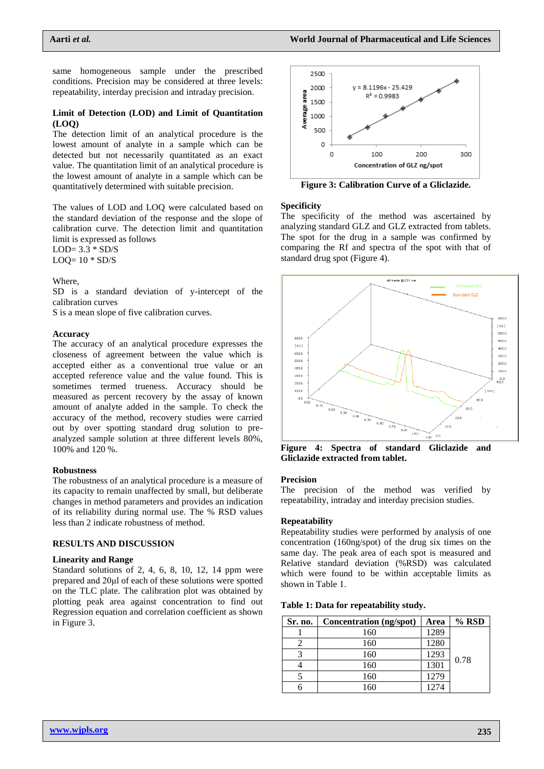same homogeneous sample under the prescribed conditions. Precision may be considered at three levels: repeatability, interday precision and intraday precision.

## **Limit of Detection (LOD) and Limit of Quantitation (LOQ)**

The detection limit of an analytical procedure is the lowest amount of analyte in a sample which can be detected but not necessarily quantitated as an exact value. The quantitation limit of an analytical procedure is the lowest amount of analyte in a sample which can be quantitatively determined with suitable precision.

The values of LOD and LOQ were calculated based on the standard deviation of the response and the slope of calibration curve. The detection limit and quantitation limit is expressed as follows

 $LOD = 3.3 * SD/S$  $LOQ=10 * SD/S$ 

#### Where,

SD is a standard deviation of y-intercept of the calibration curves

S is a mean slope of five calibration curves.

#### **Accuracy**

The accuracy of an analytical procedure expresses the closeness of agreement between the value which is accepted either as a conventional true value or an accepted reference value and the value found. This is sometimes termed trueness. Accuracy should be measured as percent recovery by the assay of known amount of analyte added in the sample. To check the accuracy of the method, recovery studies were carried out by over spotting standard drug solution to preanalyzed sample solution at three different levels 80%, 100% and 120 %.

## **Robustness**

The robustness of an analytical procedure is a measure of its capacity to remain unaffected by small, but deliberate changes in method parameters and provides an indication of its reliability during normal use. The % RSD values less than 2 indicate robustness of method.

### **RESULTS AND DISCUSSION**

#### **Linearity and Range**

Standard solutions of 2, 4, 6, 8, 10, 12, 14 ppm were prepared and 20μl of each of these solutions were spotted on the TLC plate. The calibration plot was obtained by plotting peak area against concentration to find out Regression equation and correlation coefficient as shown in Figure 3.



**Figure 3: Calibration Curve of a Gliclazide.**

#### **Specificity**

The specificity of the method was ascertained by analyzing standard GLZ and GLZ extracted from tablets. The spot for the drug in a sample was confirmed by comparing the Rf and spectra of the spot with that of standard drug spot (Figure 4).



**Figure 4: Spectra of standard Gliclazide and Gliclazide extracted from tablet.**

#### **Precision**

The precision of the method was verified by repeatability, intraday and interday precision studies.

#### **Repeatability**

Repeatability studies were performed by analysis of one concentration (160ng/spot) of the drug six times on the same day. The peak area of each spot is measured and Relative standard deviation (%RSD) was calculated which were found to be within acceptable limits as shown in Table 1.

#### **Table 1: Data for repeatability study.**

| Sr. no. | <b>Concentration</b> (ng/spot) | Area | % RSD |
|---------|--------------------------------|------|-------|
|         | 160                            | 1289 |       |
|         | 160                            | 1280 |       |
| 3       | 160                            | 1293 | 0.78  |
|         | 160                            | 1301 |       |
|         | 160                            | 1279 |       |
|         | 160                            | 1274 |       |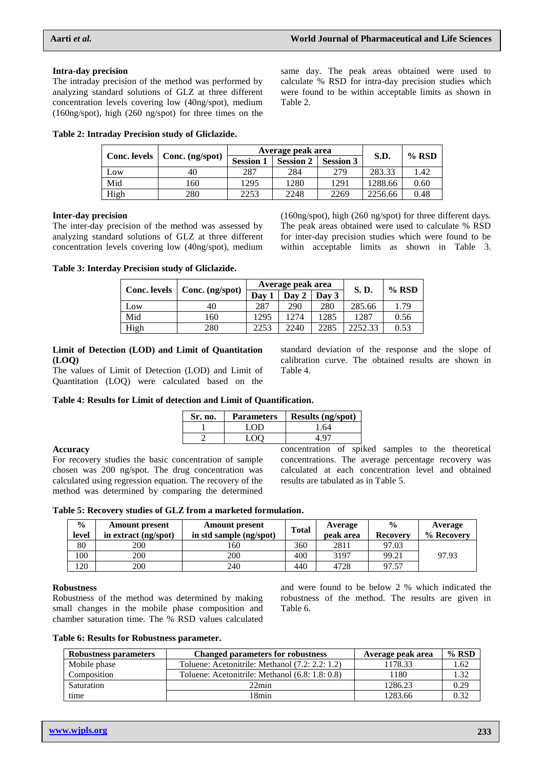same day. The peak areas obtained were used to calculate % RSD for intra-day precision studies which were found to be within acceptable limits as shown in

## **Intra-day precision**

The intraday precision of the method was performed by analyzing standard solutions of GLZ at three different concentration levels covering low (40ng/spot), medium (160ng/spot), high (260 ng/spot) for three times on the

**Table 2: Intraday Precision study of Gliclazide.**

| <b>Conc. levels</b> |                 | Average peak area |                  |                  | S.D.    | $%$ RSD |
|---------------------|-----------------|-------------------|------------------|------------------|---------|---------|
|                     | Conc. (ng/spot) | <b>Session 1</b>  | <b>Session 2</b> | <b>Session 3</b> |         |         |
| Low                 | 40              | 287               | 284              | 279              | 283.33  | 1.42    |
| Mid                 | 160             | 1295              | 1280             | 1291             | 1288.66 | 0.60    |
| High                | 280             | 2253              | 2248             | 2269             | 2256.66 | 0.48    |

Table 2.

## **Inter-day precision**

The inter-day precision of the method was assessed by analyzing standard solutions of GLZ at three different concentration levels covering low (40ng/spot), medium

(160ng/spot), high (260 ng/spot) for three different days. The peak areas obtained were used to calculate % RSD for inter-day precision studies which were found to be within acceptable limits as shown in Table 3.

**Table 3: Interday Precision study of Gliclazide.**

|                     | Conc. (ng/spot) | Average peak area |       |       | S.D.    | $%$ RSD |
|---------------------|-----------------|-------------------|-------|-------|---------|---------|
| <b>Conc.</b> levels |                 | Dav               | Day 2 | Dav 3 |         |         |
| Low                 | 40              | 287               | 290   | 280   | 285.66  | 1.79    |
| Mid                 | 160             | 1295              | 1274  | 1285  | 1287    | 0.56    |
| High                | 280             | 2253              | 2240  | 2285  | 2252.33 | 0.53    |

#### **Limit of Detection (LOD) and Limit of Quantitation (LOQ)**

The values of Limit of Detection (LOD) and Limit of Quantitation (LOQ) were calculated based on the

standard deviation of the response and the slope of calibration curve. The obtained results are shown in Table 4.

## **Table 4: Results for Limit of detection and Limit of Quantification.**

| Sr. no. | <b>Parameters</b> | <b>Results (ng/spot)</b> |
|---------|-------------------|--------------------------|
|         | LOD.              | 1.64                     |
|         | ഹ                 | $\mathbf o$              |

#### **Accuracy**

For recovery studies the basic concentration of sample chosen was 200 ng/spot. The drug concentration was calculated using regression equation. The recovery of the method was determined by comparing the determined

concentration of spiked samples to the theoretical concentrations. The average percentage recovery was calculated at each concentration level and obtained results are tabulated as in Table 5.

**Table 5: Recovery studies of GLZ from a marketed formulation.**

| $\frac{0}{0}$<br>level | <b>Amount present</b><br>in extract (ng/spot) | <b>Amount present</b><br>in std sample (ng/spot) | <b>Total</b> | Average<br>peak area | $\frac{0}{0}$<br><b>Recovery</b> | Average<br>% Recovery |
|------------------------|-----------------------------------------------|--------------------------------------------------|--------------|----------------------|----------------------------------|-----------------------|
| 80                     | 200                                           | .60                                              | 360          | 2811                 | 97.03                            |                       |
| 100                    | 200                                           | 200                                              | 400          | 3197                 | 99.21                            | 97.93                 |
| 120                    | 200                                           | 240                                              | 440          | 4728                 | 97.57                            |                       |

#### **Robustness**

Robustness of the method was determined by making small changes in the mobile phase composition and chamber saturation time. The % RSD values calculated and were found to be below 2 % which indicated the robustness of the method. The results are given in Table 6.

#### **Table 6: Results for Robustness parameter.**

| Robustness parameters | Average peak area                               | $%$ RSD |      |
|-----------------------|-------------------------------------------------|---------|------|
| Mobile phase          | Toluene: Acetonitrile: Methanol (7.2: 2.2: 1.2) | 1178.33 | 1.62 |
| Composition           | Toluene: Acetonitrile: Methanol (6.8: 1.8: 0.8) | 1180    | 1.32 |
| Saturation            | $22$ min                                        | 1286.23 | 0.29 |
| time                  | 18 <sub>min</sub>                               | 1283.66 | 0.32 |